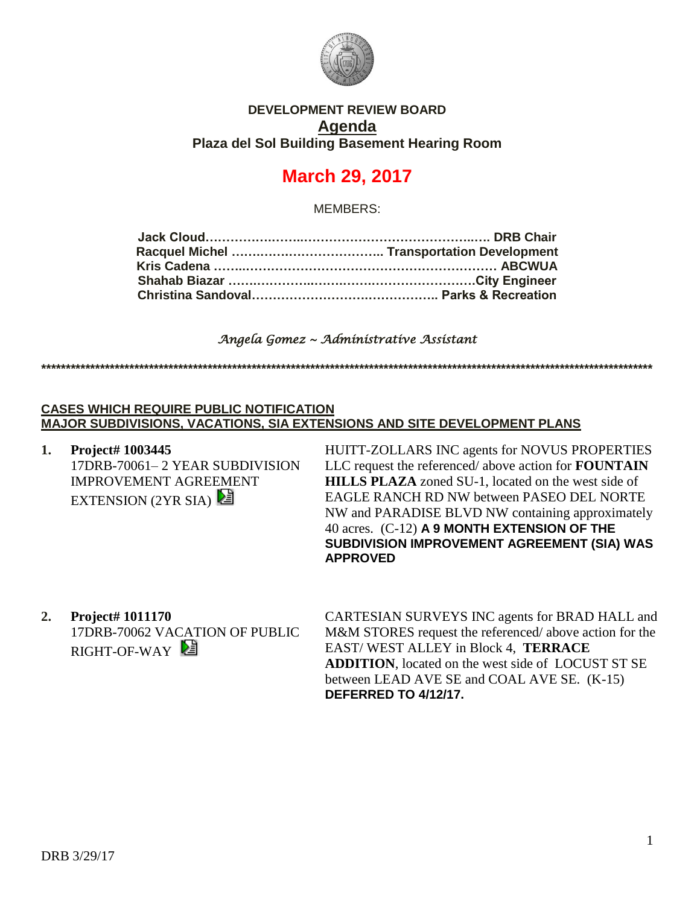

## **DEVELOPMENT REVIEW BOARD Agenda Plaza del Sol Building Basement Hearing Room**

# **March 29, 2017**

MEMBERS:

### *Angela Gomez ~ Administrative Assistant*

**\*\*\*\*\*\*\*\*\*\*\*\*\*\*\*\*\*\*\*\*\*\*\*\*\*\*\*\*\*\*\*\*\*\*\*\*\*\*\*\*\*\*\*\*\*\*\*\*\*\*\*\*\*\*\*\*\*\*\*\*\*\*\*\*\*\*\*\*\*\*\*\*\*\*\*\*\*\*\*\*\*\*\*\*\*\*\*\*\*\*\*\*\*\*\*\*\*\*\*\*\*\*\*\*\*\*\*\*\*\*\*\*\*\*\*\*\*\*\*\*\*\*\*\*\***

#### **CASES WHICH REQUIRE PUBLIC NOTIFICATION MAJOR SUBDIVISIONS, VACATIONS, SIA EXTENSIONS AND SITE DEVELOPMENT PLANS**

**1. Project# 1003445** 17DRB-70061– 2 YEAR SUBDIVISION IMPROVEMENT AGREEMENT EXTENSION (2YR SIA)

HUITT-ZOLLARS INC agents for NOVUS PROPERTIES LLC request the referenced/ above action for **FOUNTAIN HILLS PLAZA** zoned SU-1, located on the west side of EAGLE RANCH RD NW between PASEO DEL NORTE NW and PARADISE BLVD NW containing approximately 40 acres. (C-12) **A 9 MONTH EXTENSION OF THE SUBDIVISION IMPROVEMENT AGREEMENT (SIA) WAS APPROVED**

**2. Project# 1011170** 17DRB-70062 VACATION OF PUBLIC RIGHT-OF-WAY

CARTESIAN SURVEYS INC agents for BRAD HALL and M&M STORES request the referenced/ above action for the EAST/ WEST ALLEY in Block 4, **TERRACE ADDITION**, located on the west side of LOCUST ST SE between LEAD AVE SE and COAL AVE SE. (K-15) **DEFERRED TO 4/12/17.**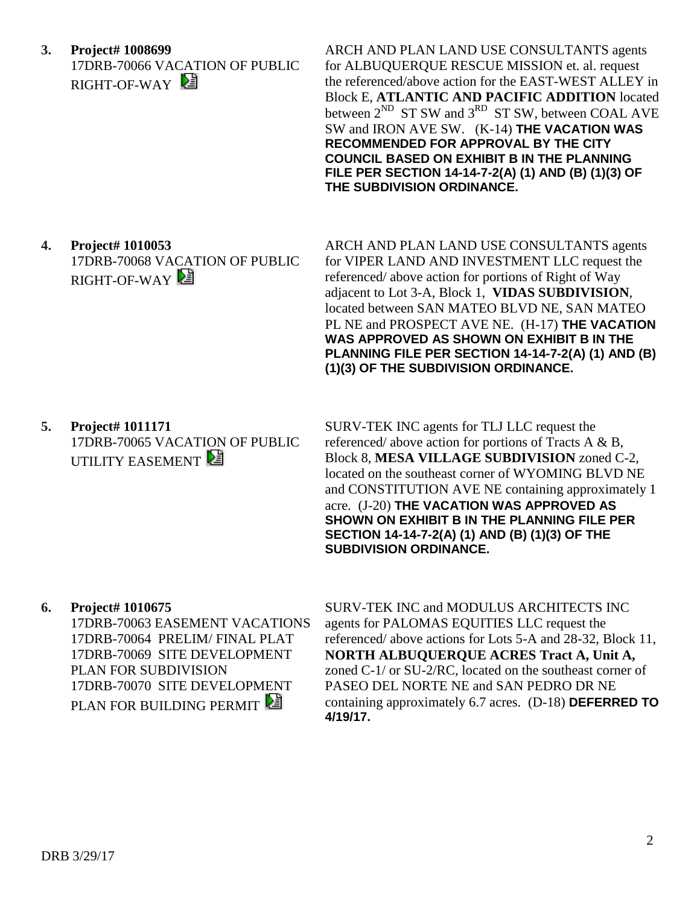**3. Project# 1008699** 17DRB-70066 VACATION OF PUBLIC RIGHT-OF-WAY

ARCH AND PLAN LAND USE CONSULTANTS agents for ALBUQUERQUE RESCUE MISSION et. al. request the referenced/above action for the EAST-WEST ALLEY in Block E, **ATLANTIC AND PACIFIC ADDITION** located between  $2^{ND}$  ST SW and  $3^{RD}$  ST SW, between COAL AVE SW and IRON AVE SW. (K-14) **THE VACATION WAS RECOMMENDED FOR APPROVAL BY THE CITY COUNCIL BASED ON EXHIBIT B IN THE PLANNING FILE PER SECTION 14-14-7-2(A) (1) AND (B) (1)(3) OF THE SUBDIVISION ORDINANCE.**

**4. Project# 1010053** 17DRB-70068 VACATION OF PUBLIC RIGHT-OF-WAY

ARCH AND PLAN LAND USE CONSULTANTS agents for VIPER LAND AND INVESTMENT LLC request the referenced/ above action for portions of Right of Way adjacent to Lot 3-A, Block 1, **VIDAS SUBDIVISION**, located between SAN MATEO BLVD NE, SAN MATEO PL NE and PROSPECT AVE NE. (H-17) **THE VACATION WAS APPROVED AS SHOWN ON EXHIBIT B IN THE PLANNING FILE PER SECTION 14-14-7-2(A) (1) AND (B) (1)(3) OF THE SUBDIVISION ORDINANCE.**

**5. Project# 1011171** 17DRB-70065 VACATION OF PUBLIC UTILITY EASEMENT

SURV-TEK INC agents for TLJ LLC request the referenced/ above action for portions of Tracts A & B, Block 8, **MESA VILLAGE SUBDIVISION** zoned C-2, located on the southeast corner of WYOMING BLVD NE and CONSTITUTION AVE NE containing approximately 1 acre. (J-20) **THE VACATION WAS APPROVED AS SHOWN ON EXHIBIT B IN THE PLANNING FILE PER SECTION 14-14-7-2(A) (1) AND (B) (1)(3) OF THE SUBDIVISION ORDINANCE.**

**6. Project# 1010675**

17DRB-70063 EASEMENT VACATIONS 17DRB-70064 PRELIM/ FINAL PLAT 17DRB-70069 SITE DEVELOPMENT PLAN FOR SUBDIVISION 17DRB-70070 SITE DEVELOPMENT PLAN FOR BUILDING PERMIT

SURV-TEK INC and MODULUS ARCHITECTS INC agents for PALOMAS EQUITIES LLC request the referenced/ above actions for Lots 5-A and 28-32, Block 11, **NORTH ALBUQUERQUE ACRES Tract A, Unit A,** zoned C-1/ or SU-2/RC, located on the southeast corner of PASEO DEL NORTE NE and SAN PEDRO DR NE containing approximately 6.7 acres. (D-18) **DEFERRED TO 4/19/17.**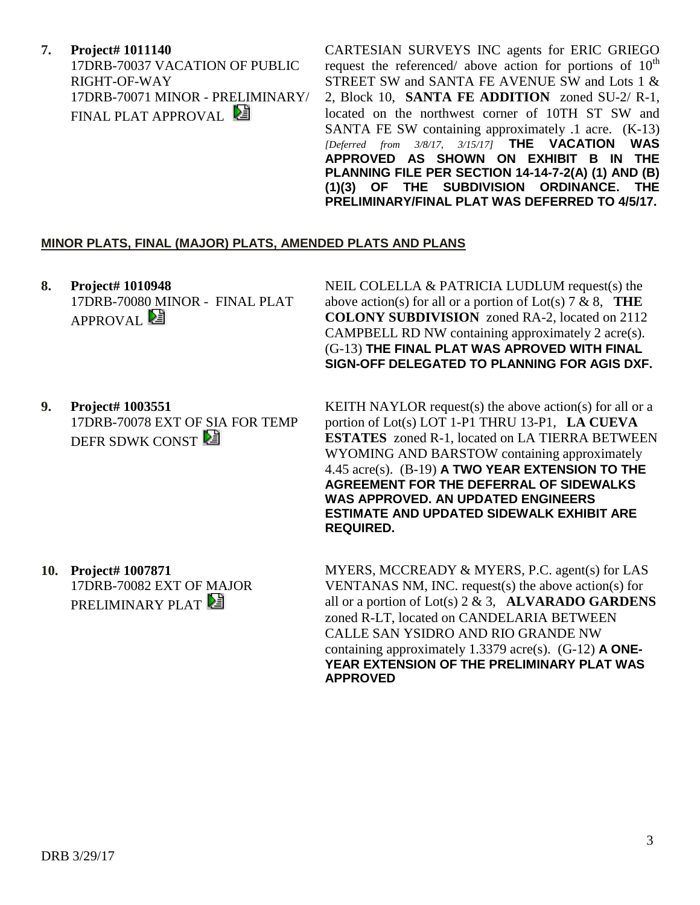**7. Project# 1011140** 17DRB-70037 VACATION OF PUBLIC RIGHT-OF-WAY 17DRB-70071 MINOR - PRELIMINARY/ FINAL PLAT APPROVAL

CARTESIAN SURVEYS INC agents for ERIC GRIEGO request the referenced/ above action for portions of  $10<sup>th</sup>$ STREET SW and SANTA FE AVENUE SW and Lots 1 & 2, Block 10, **SANTA FE ADDITION** zoned SU-2/ R-1, located on the northwest corner of 10TH ST SW and SANTA FE SW containing approximately .1 acre. (K-13) *[Deferred from 3/8/17, 3/15/17]* **THE VACATION WAS APPROVED AS SHOWN ON EXHIBIT B IN THE PLANNING FILE PER SECTION 14-14-7-2(A) (1) AND (B) (1)(3) OF THE SUBDIVISION ORDINANCE. THE PRELIMINARY/FINAL PLAT WAS DEFERRED TO 4/5/17.**

#### **MINOR PLATS, FINAL (MAJOR) PLATS, AMENDED PLATS AND PLANS**

**8. Project# 1010948** 17DRB-70080 MINOR - FINAL PLAT APPROVAL<sup>2</sup>

NEIL COLELLA & PATRICIA LUDLUM request(s) the above action(s) for all or a portion of Lot(s) 7 & 8, **THE COLONY SUBDIVISION** zoned RA-2, located on 2112 CAMPBELL RD NW containing approximately 2 acre(s). (G-13) **THE FINAL PLAT WAS APROVED WITH FINAL SIGN-OFF DELEGATED TO PLANNING FOR AGIS DXF.**

**9. Project# 1003551** 17DRB-70078 EXT OF SIA FOR TEMP DEFR SDWK CONST

KEITH NAYLOR request(s) the above action(s) for all or a portion of Lot(s) LOT 1-P1 THRU 13-P1, **LA CUEVA ESTATES** zoned R-1, located on LA TIERRA BETWEEN WYOMING AND BARSTOW containing approximately 4.45 acre(s). (B-19) **A TWO YEAR EXTENSION TO THE AGREEMENT FOR THE DEFERRAL OF SIDEWALKS WAS APPROVED. AN UPDATED ENGINEERS ESTIMATE AND UPDATED SIDEWALK EXHIBIT ARE REQUIRED.**

**10. Project# 1007871** 17DRB-70082 EXT OF MAJOR PRELIMINARY PLAT

MYERS, MCCREADY & MYERS, P.C. agent(s) for LAS VENTANAS NM, INC. request(s) the above action(s) for all or a portion of Lot(s) 2 & 3, **ALVARADO GARDENS**  zoned R-LT, located on CANDELARIA BETWEEN CALLE SAN YSIDRO AND RIO GRANDE NW containing approximately 1.3379 acre(s). (G-12) **A ONE-YEAR EXTENSION OF THE PRELIMINARY PLAT WAS APPROVED**